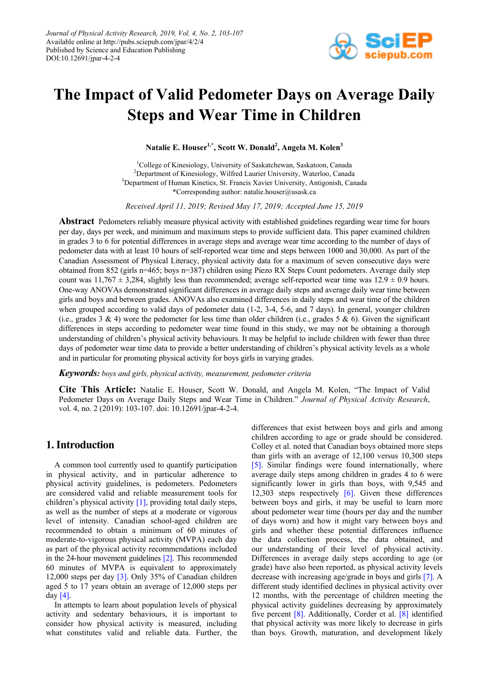

# **The Impact of Valid Pedometer Days on Average Daily Steps and Wear Time in Children**

**Natalie E. Houser1,\*, Scott W. Donald<sup>2</sup> , Angela M. Kolen<sup>3</sup>**

1 College of Kinesiology, University of Saskatchewan, Saskatoon, Canada <sup>2</sup>Department of Kinesiology, Wilfred Laurier University, Waterloo, Canada <sup>3</sup>Department of Human Kinetics, St. Francis Xavier University, Antigonish, Canada \*Corresponding author: natalie.houser@usask.ca

*Received April 11, 2019; Revised May 17, 2019; Accepted June 15, 2019*

**Abstract** Pedometers reliably measure physical activity with established guidelines regarding wear time for hours per day, days per week, and minimum and maximum steps to provide sufficient data. This paper examined children in grades 3 to 6 for potential differences in average steps and average wear time according to the number of days of pedometer data with at least 10 hours of self-reported wear time and steps between 1000 and 30,000. As part of the Canadian Assessment of Physical Literacy, physical activity data for a maximum of seven consecutive days were obtained from 852 (girls n=465; boys n=387) children using Piezo RX Steps Count pedometers. Average daily step count was  $11,767 \pm 3,284$ , slightly less than recommended; average self-reported wear time was  $12.9 \pm 0.9$  hours. One-way ANOVAs demonstrated significant differences in average daily steps and average daily wear time between girls and boys and between grades. ANOVAs also examined differences in daily steps and wear time of the children when grouped according to valid days of pedometer data (1-2, 3-4, 5-6, and 7 days). In general, younger children (i.e., grades 3 & 4) wore the pedometer for less time than older children (i.e., grades 5 & 6). Given the significant differences in steps according to pedometer wear time found in this study, we may not be obtaining a thorough understanding of children's physical activity behaviours. It may be helpful to include children with fewer than three days of pedometer wear time data to provide a better understanding of children's physical activity levels as a whole and in particular for promoting physical activity for boys girls in varying grades.

#### *Keywords: boys and girls, physical activity, measurement, pedometer criteria*

**Cite This Article:** Natalie E. Houser, Scott W. Donald, and Angela M. Kolen, "The Impact of Valid Pedometer Days on Average Daily Steps and Wear Time in Children." *Journal of Physical Activity Research*, vol. 4, no. 2 (2019): 103-107. doi: 10.12691/jpar-4-2-4.

# **1. Introduction**

A common tool currently used to quantify participation in physical activity, and in particular adherence to physical activity guidelines, is pedometers. Pedometers are considered valid and reliable measurement tools for children's physical activity [\[1\],](#page-4-0) providing total daily steps, as well as the number of steps at a moderate or vigorous level of intensity. Canadian school-aged children are recommended to obtain a minimum of 60 minutes of moderate-to-vigorous physical activity (MVPA) each day as part of the physical activity recommendations included in the 24-hour movement guidelines [\[2\].](#page-4-1) This recommended 60 minutes of MVPA is equivalent to approximately 12,000 steps per day [\[3\].](#page-4-2) Only 35% of Canadian children aged 5 to 17 years obtain an average of 12,000 steps per da[y \[4\].](#page-4-3) 

In attempts to learn about population levels of physical activity and sedentary behaviours, it is important to consider how physical activity is measured, including what constitutes valid and reliable data. Further, the differences that exist between boys and girls and among children according to age or grade should be considered. Colley et al. noted that Canadian boys obtained more steps than girls with an average of 12,100 versus 10,300 steps [\[5\].](#page-4-4) Similar findings were found internationally, where average daily steps among children in grades 4 to 6 were significantly lower in girls than boys, with 9,545 and 12,303 steps respectively  $[6]$ . Given these differences between boys and girls, it may be useful to learn more about pedometer wear time (hours per day and the number of days worn) and how it might vary between boys and girls and whether these potential differences influence the data collection process, the data obtained, and our understanding of their level of physical activity. Differences in average daily steps according to age (or grade) have also been reported, as physical activity levels decrease with increasing age/grade in boys and girls [\[7\].](#page-4-6) A different study identified declines in physical activity over 12 months, with the percentage of children meeting the physical activity guidelines decreasing by approximately five percent [\[8\].](#page-4-7) Additionally, Corder et al. [\[8\]](#page-4-7) identified that physical activity was more likely to decrease in girls than boys. Growth, maturation, and development likely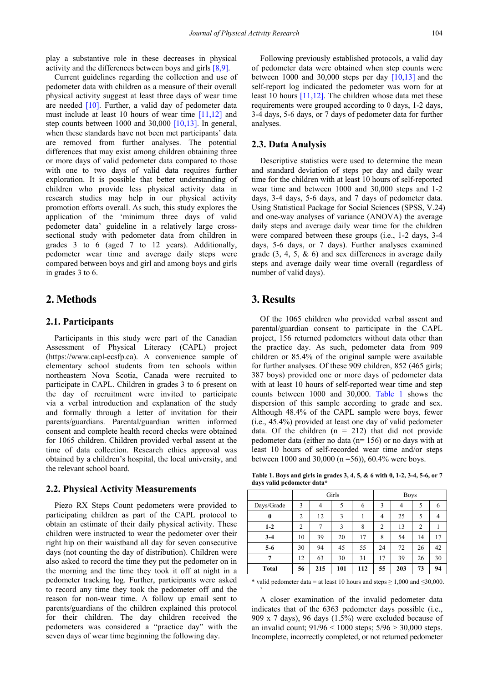play a substantive role in these decreases in physical activity and the differences between boys and girls [\[8,9\].](#page-4-7)

Current guidelines regarding the collection and use of pedometer data with children as a measure of their overall physical activity suggest at least three days of wear time are needed  $[10]$ . Further, a valid day of pedometer data must include at least 10 hours of wear time [\[11,12\]](#page-4-9) and step counts between 1000 and 30,000 [\[10,13\].](#page-4-8) In general, when these standards have not been met participants' data are removed from further analyses. The potential differences that may exist among children obtaining three or more days of valid pedometer data compared to those with one to two days of valid data requires further exploration. It is possible that better understanding of children who provide less physical activity data in research studies may help in our physical activity promotion efforts overall. As such, this study explores the application of the 'minimum three days of valid pedometer data' guideline in a relatively large crosssectional study with pedometer data from children in grades 3 to 6 (aged 7 to 12 years). Additionally, pedometer wear time and average daily steps were compared between boys and girl and among boys and girls in grades 3 to 6.

## **2. Methods**

#### **2.1. Participants**

Participants in this study were part of the Canadian Assessment of Physical Literacy (CAPL) project (https://www.capl-ecsfp.ca). A convenience sample of elementary school students from ten schools within northeastern Nova Scotia, Canada were recruited to participate in CAPL. Children in grades 3 to 6 present on the day of recruitment were invited to participate via a verbal introduction and explanation of the study and formally through a letter of invitation for their parents/guardians. Parental/guardian written informed consent and complete health record checks were obtained for 1065 children. Children provided verbal assent at the time of data collection. Research ethics approval was obtained by a children's hospital, the local university, and the relevant school board.

#### **2.2. Physical Activity Measurements**

Piezo RX Steps Count pedometers were provided to participating children as part of the CAPL protocol to obtain an estimate of their daily physical activity. These children were instructed to wear the pedometer over their right hip on their waistband all day for seven consecutive days (not counting the day of distribution). Children were also asked to record the time they put the pedometer on in the morning and the time they took it off at night in a pedometer tracking log. Further, participants were asked to record any time they took the pedometer off and the reason for non-wear time. A follow up email sent to parents/guardians of the children explained this protocol for their children. The day children received the pedometers was considered a "practice day" with the seven days of wear time beginning the following day.

Following previously established protocols, a valid day of pedometer data were obtained when step counts were between 1000 and 30,000 steps per day  $[10,13]$  and the self-report log indicated the pedometer was worn for at least 10 hours [\[11,12\].](#page-4-9) The children whose data met these requirements were grouped according to 0 days, 1-2 days, 3-4 days, 5-6 days, or 7 days of pedometer data for further analyses.

#### **2.3. Data Analysis**

Descriptive statistics were used to determine the mean and standard deviation of steps per day and daily wear time for the children with at least 10 hours of self-reported wear time and between 1000 and 30,000 steps and 1-2 days, 3-4 days, 5-6 days, and 7 days of pedometer data. Using Statistical Package for Social Sciences (SPSS, V.24) and one-way analyses of variance (ANOVA) the average daily steps and average daily wear time for the children were compared between these groups (i.e., 1-2 days, 3-4 days, 5-6 days, or 7 days). Further analyses examined grade  $(3, 4, 5, \& 6)$  and sex differences in average daily steps and average daily wear time overall (regardless of number of valid days).

# **3. Results**

`

Of the 1065 children who provided verbal assent and parental/guardian consent to participate in the CAPL project, 156 returned pedometers without data other than the practice day. As such, pedometer data from 909 children or 85.4% of the original sample were available for further analyses. Of these 909 children, 852 (465 girls; 387 boys) provided one or more days of pedometer data with at least 10 hours of self-reported wear time and step counts between 1000 and 30,000. [Table 1](#page-1-0) shows the dispersion of this sample according to grade and sex. Although 48.4% of the CAPL sample were boys, fewer (i.e., 45.4%) provided at least one day of valid pedometer data. Of the children  $(n = 212)$  that did not provide pedometer data (either no data (n= 156) or no days with at least 10 hours of self-recorded wear time and/or steps between 1000 and 30,000 (n =56)), 60.4% were boys.

**Table 1. Boys and girls in grades 3, 4, 5, & 6 with 0, 1-2, 3-4, 5-6, or 7 days valid pedometer data\***

<span id="page-1-0"></span>

|              | Girls          |                |     |     | <b>Boys</b>    |     |                |    |
|--------------|----------------|----------------|-----|-----|----------------|-----|----------------|----|
| Days/Grade   | 3              | $\overline{4}$ | 5   | 6   | 3              | 4   | 5              | 6  |
| $\bf{0}$     | $\overline{c}$ | 12             | 3   |     | 4              | 25  | 5              |    |
| $1 - 2$      | $\overline{c}$ | 7              | 3   | 8   | $\overline{c}$ | 13  | $\overline{2}$ |    |
| $3 - 4$      | 10             | 39             | 20  | 17  | 8              | 54  | 14             | 17 |
| $5-6$        | 30             | 94             | 45  | 55  | 24             | 72  | 26             | 42 |
| 7            | 12             | 63             | 30  | 31  | 17             | 39  | 26             | 30 |
| <b>Total</b> | 56             | 215            | 101 | 112 | 55             | 203 | 73             | 94 |

\* valid pedometer data = at least 10 hours and steps  $\geq 1,000$  and  $\leq 30,000$ .

A closer examination of the invalid pedometer data indicates that of the 6363 pedometer days possible (i.e., 909 x 7 days), 96 days (1.5%) were excluded because of an invalid count; 91/96 < 1000 steps; 5/96 > 30,000 steps. Incomplete, incorrectly completed, or not returned pedometer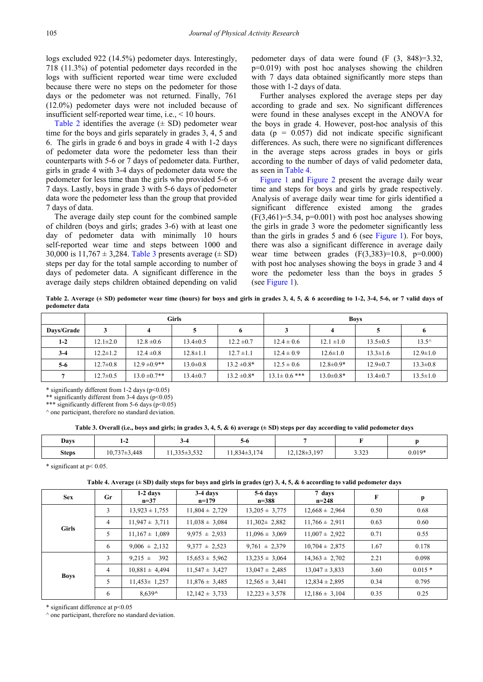logs excluded 922 (14.5%) pedometer days. Interestingly, 718 (11.3%) of potential pedometer days recorded in the logs with sufficient reported wear time were excluded because there were no steps on the pedometer for those days or the pedometer was not returned. Finally, 761 (12.0%) pedometer days were not included because of insufficient self-reported wear time, i.e., < 10 hours.

[Table 2](#page-2-0) identifies the average  $(\pm SD)$  pedometer wear time for the boys and girls separately in grades 3, 4, 5 and 6. The girls in grade 6 and boys in grade 4 with 1-2 days of pedometer data wore the pedometer less than their counterparts with 5-6 or 7 days of pedometer data. Further, girls in grade 4 with 3-4 days of pedometer data wore the pedometer for less time than the girls who provided 5-6 or 7 days. Lastly, boys in grade 3 with 5-6 days of pedometer data wore the pedometer less than the group that provided 7 days of data.

The average daily step count for the combined sample of children (boys and girls; grades 3-6) with at least one day of pedometer data with minimally 10 hours self-reported wear time and steps between 1000 and 30,000 is  $11,767 \pm 3,284$ . [Table 3](#page-2-1) presents average ( $\pm$  SD) steps per day for the total sample according to number of days of pedometer data. A significant difference in the average daily steps children obtained depending on valid

pedometer days of data were found (F (3, 848)=3.32, p=0.019) with post hoc analyses showing the children with 7 days data obtained significantly more steps than those with 1-2 days of data.

Further analyses explored the average steps per day according to grade and sex. No significant differences were found in these analyses except in the ANOVA for the boys in grade 4. However, post-hoc analysis of this data ( $p = 0.057$ ) did not indicate specific significant differences. As such, there were no significant differences in the average steps across grades in boys or girls according to the number of days of valid pedometer data, as seen i[n Table 4.](#page-2-2)

[Figure 1](#page-3-0) and [Figure 2](#page-3-1) present the average daily wear time and steps for boys and girls by grade respectively. Analysis of average daily wear time for girls identified a significant difference existed among the grades  $(F(3,461)=5.34, p=0.001)$  with post hoc analyses showing the girls in grade 3 wore the pedometer significantly less than the girls in grades 5 and 6 (see [Figure 1\)](#page-3-0). For boys, there was also a significant difference in average daily wear time between grades  $(F(3,383)=10.8, p=0.000)$ with post hoc analyses showing the boys in grade 3 and 4 wore the pedometer less than the boys in grades 5 (see [Figure 1\)](#page-3-0).

**Table 2. Average (± SD) pedometer wear time (hours) for boys and girls in grades 3, 4, 5, & 6 according to 1-2, 3-4, 5-6, or 7 valid days of pedometer data**

<span id="page-2-0"></span>

|            | <b>Girls</b>   |                   |                |                  | <b>Boys</b>        |                 |                |                |  |
|------------|----------------|-------------------|----------------|------------------|--------------------|-----------------|----------------|----------------|--|
| Davs/Grade |                |                   |                | o                |                    |                 |                |                |  |
| $1-2$      | $12.1 \pm 2.0$ | $12.8 \pm 0.6$    | $13.4 \pm 0.5$ | $12.2 \pm 0.7$   | $12.4 \pm 0.6$     | $12.1 \pm 1.0$  | $13.5 \pm 0.5$ | $13.5^{\circ}$ |  |
| $3-4$      | $12.2 \pm 1.2$ | $12.4 \pm 0.8$    | $12.8 \pm 1.1$ | $12.7 \pm 1.1$   | $12.4 \pm 0.9$     | $12.6 \pm 1.0$  | $13.3 \pm 1.6$ | $12.9 \pm 1.0$ |  |
| $5-6$      | $12.7 \pm 0.8$ | $12.9 \pm 0.9$ ** | $13.0 \pm 0.8$ | $13.2 \pm 0.8^*$ | $12.5 \pm 0.6$     | $12.8 \pm 0.9*$ | $12.9 \pm 0.7$ | $13.3 \pm 0.8$ |  |
|            | $12.7 \pm 0.5$ | $13.0 \pm 0.7$ ** | $13.4 \pm 0.7$ | $13.2 \pm 0.8^*$ | $13.1 \pm 0.6$ *** | $13.0 \pm 0.8*$ | $13.4 \pm 0.7$ | $13.5 \pm 1.0$ |  |

 $*$  significantly different from 1-2 days ( $p \le 0.05$ )

\*\* significantly different from 3-4 days ( $p$ <0.05)

\*\*\* significantly different from 5-6 days (p<0.05)

 $\land$  one participant, therefore no standard deviation.

**Table 3. Overall (i.e., boys and girls; in grades 3, 4, 5, & 6) average (± SD) steps per day according to valid pedometer days**

<span id="page-2-1"></span>

| Days         | $1 - 2$            |                 | 3-0              |                  |                   |          |
|--------------|--------------------|-----------------|------------------|------------------|-------------------|----------|
| <b>Steps</b> | $10,737 \pm 3,448$ | $1,335\pm3,532$ | $11,834\pm3,174$ | $12,128\pm3,197$ | 2.222<br>د ے د. د | $0.019*$ |

\* significant at  $p < 0.05$ .

**Table 4. Average (± SD) daily steps for boys and girls in grades (gr) 3, 4, 5, & 6 according to valid pedometer days**

<span id="page-2-2"></span>

| <b>Sex</b>   | Gr             | $1-2$ days<br>$n=37$ | 3-4 days<br>$n=179$ | 5-6 days<br>$n = 388$ | 7 days<br>$n=248$  | $\mathbf{F}$ | $\mathbf{p}$ |
|--------------|----------------|----------------------|---------------------|-----------------------|--------------------|--------------|--------------|
| <b>Girls</b> | 3              | $13,923 \pm 1,755$   | $11,804 \pm 2,729$  | $13,205 \pm 3,775$    | $12,668 \pm 2,964$ | 0.50         | 0.68         |
|              | $\overline{4}$ | $11,947 \pm 3,711$   | $11,038 \pm 3,084$  | $11,302 \pm 2,882$    | $11,766 \pm 2,911$ | 0.63         | 0.60         |
|              | 5              | $11,167 \pm 1,089$   | $9.975 \pm 2.933$   | $11,096 \pm 3,069$    | $11,007 \pm 2,922$ | 0.71         | 0.55         |
|              | 6              | $9,006 \pm 2,132$    | $9.377 \pm 2.523$   | $9,761 \pm 2,379$     | $10,704 \pm 2,875$ | 1.67         | 0.178        |
| <b>Boys</b>  | 3              | 392<br>$9.215 \pm$   | $15,653 \pm 5,962$  | $13.235 \pm 3.064$    | $14,363 \pm 2,702$ | 2.21         | 0.098        |
|              | $\overline{4}$ | $10,881 \pm 4,494$   | $11,547 \pm 3,427$  | $13.047 \pm 2.485$    | $13,047 \pm 3,833$ | 3.60         | $0.015*$     |
|              | 5              | $11,453 \pm 1,257$   | $11,876 \pm 3,485$  | $12,565 \pm 3,441$    | $12,834 \pm 2,895$ | 0.34         | 0.795        |
|              | 6              | $8.639^{\circ}$      | $12,142 \pm 3,733$  | $12,223 \pm 3,578$    | $12,186 \pm 3,104$ | 0.35         | 0.25         |

\* significant difference at p<0.05

 $^{\wedge}$  one participant, therefore no standard deviation.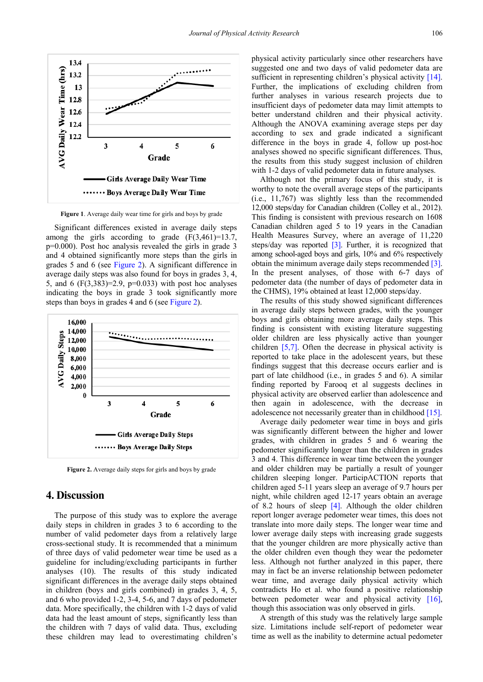<span id="page-3-0"></span>

**Figure 1**. Average daily wear time for girls and boys by grade

Significant differences existed in average daily steps among the girls according to grade  $(F(3,461)=13.7)$ , p=0.000). Post hoc analysis revealed the girls in grade 3 and 4 obtained significantly more steps than the girls in grades 5 and 6 (see [Figure 2\)](#page-3-1). A significant difference in average daily steps was also found for boys in grades 3, 4, 5, and 6 (F(3,383)=2.9, p=0.033) with post hoc analyses indicating the boys in grade 3 took significantly more steps than boys in grades 4 and 6 (se[e Figure 2\)](#page-3-1).

<span id="page-3-1"></span>

Figure 2. Average daily steps for girls and boys by grade

## **4. Discussion**

The purpose of this study was to explore the average daily steps in children in grades 3 to 6 according to the number of valid pedometer days from a relatively large cross-sectional study. It is recommended that a minimum of three days of valid pedometer wear time be used as a guideline for including/excluding participants in further analyses (10). The results of this study indicated significant differences in the average daily steps obtained in children (boys and girls combined) in grades 3, 4, 5, and 6 who provided 1-2, 3-4, 5-6, and 7 days of pedometer data. More specifically, the children with 1-2 days of valid data had the least amount of steps, significantly less than the children with 7 days of valid data. Thus, excluding these children may lead to overestimating children's

physical activity particularly since other researchers have suggested one and two days of valid pedometer data are sufficient in representing children's physical activity [\[14\].](#page-4-10) Further, the implications of excluding children from further analyses in various research projects due to insufficient days of pedometer data may limit attempts to better understand children and their physical activity. Although the ANOVA examining average steps per day according to sex and grade indicated a significant difference in the boys in grade 4, follow up post-hoc analyses showed no specific significant differences. Thus, the results from this study suggest inclusion of children with 1-2 days of valid pedometer data in future analyses.

Although not the primary focus of this study, it is worthy to note the overall average steps of the participants (i.e., 11,767) was slightly less than the recommended 12,000 steps/day for Canadian children (Colley et al., 2012). This finding is consistent with previous research on 1608 Canadian children aged 5 to 19 years in the Canadian Health Measures Survey, where an average of 11,220 steps/day was reported [\[3\].](#page-4-2) Further, it is recognized that among school-aged boys and girls, 10% and 6% respectively obtain the minimum average daily steps recommende[d \[3\].](#page-4-2) In the present analyses, of those with 6-7 days of pedometer data (the number of days of pedometer data in the CHMS), 19% obtained at least 12,000 steps/day.

The results of this study showed significant differences in average daily steps between grades, with the younger boys and girls obtaining more average daily steps. This finding is consistent with existing literature suggesting older children are less physically active than younger children [\[5,7\].](#page-4-4) Often the decrease in physical activity is reported to take place in the adolescent years, but these findings suggest that this decrease occurs earlier and is part of late childhood (i.e., in grades 5 and 6). A similar finding reported by Farooq et al suggests declines in physical activity are observed earlier than adolescence and then again in adolescence, with the decrease in adolescence not necessarily greater than in childhood [\[15\].](#page-4-11)

Average daily pedometer wear time in boys and girls was significantly different between the higher and lower grades, with children in grades 5 and 6 wearing the pedometer significantly longer than the children in grades 3 and 4. This difference in wear time between the younger and older children may be partially a result of younger children sleeping longer. ParticipACTION reports that children aged 5-11 years sleep an average of 9.7 hours per night, while children aged 12-17 years obtain an average of 8.2 hours of sleep [\[4\].](#page-4-3) Although the older children report longer average pedometer wear times, this does not translate into more daily steps. The longer wear time and lower average daily steps with increasing grade suggests that the younger children are more physically active than the older children even though they wear the pedometer less. Although not further analyzed in this paper, there may in fact be an inverse relationship between pedometer wear time, and average daily physical activity which contradicts Ho et al. who found a positive relationship between pedometer wear and physical activity [\[16\],](#page-4-12) though this association was only observed in girls.

A strength of this study was the relatively large sample size. Limitations include self-report of pedometer wear time as well as the inability to determine actual pedometer